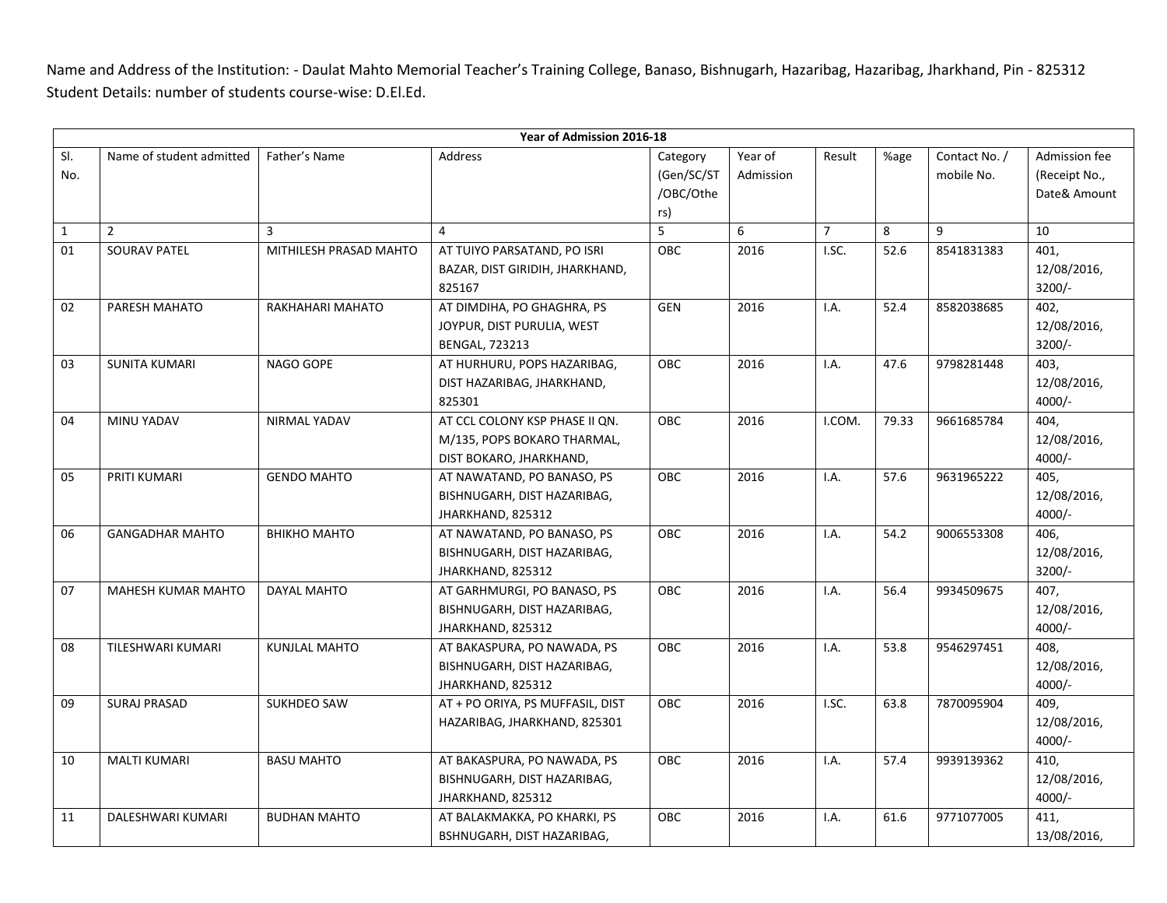Name and Address of the Institution: - Daulat Mahto Memorial Teacher's Training College, Banaso, Bishnugarh, Hazaribag, Hazaribag, Jharkhand, Pin - 825312 Student Details: number of students course-wise: D.El.Ed.

|              | Year of Admission 2016-18 |                        |                                                                                          |                                            |                      |                |       |                             |                                                |
|--------------|---------------------------|------------------------|------------------------------------------------------------------------------------------|--------------------------------------------|----------------------|----------------|-------|-----------------------------|------------------------------------------------|
| SI.<br>No.   | Name of student admitted  | Father's Name          | Address                                                                                  | Category<br>(Gen/SC/ST<br>/OBC/Othe<br>rs) | Year of<br>Admission | Result         | %age  | Contact No. /<br>mobile No. | Admission fee<br>(Receipt No.,<br>Date& Amount |
| $\mathbf{1}$ | $\overline{2}$            | $\overline{3}$         | $\overline{4}$                                                                           | 5                                          | 6                    | $\overline{7}$ | 8     | 9                           | 10                                             |
| 01           | <b>SOURAV PATEL</b>       | MITHILESH PRASAD MAHTO | AT TUIYO PARSATAND, PO ISRI<br>BAZAR, DIST GIRIDIH, JHARKHAND,<br>825167                 | OBC                                        | 2016                 | I.SC.          | 52.6  | 8541831383                  | 401,<br>12/08/2016,<br>$3200/-$                |
| 02           | PARESH MAHATO             | RAKHAHARI MAHATO       | AT DIMDIHA, PO GHAGHRA, PS<br>JOYPUR, DIST PURULIA, WEST<br><b>BENGAL, 723213</b>        | <b>GEN</b>                                 | 2016                 | I.A.           | 52.4  | 8582038685                  | 402,<br>12/08/2016,<br>$3200/-$                |
| 03           | <b>SUNITA KUMARI</b>      | NAGO GOPE              | AT HURHURU, POPS HAZARIBAG,<br>DIST HAZARIBAG, JHARKHAND,<br>825301                      | <b>OBC</b>                                 | 2016                 | I.A.           | 47.6  | 9798281448                  | 403,<br>12/08/2016,<br>$4000/-$                |
| 04           | MINU YADAV                | NIRMAL YADAV           | AT CCL COLONY KSP PHASE II QN.<br>M/135, POPS BOKARO THARMAL,<br>DIST BOKARO, JHARKHAND, | <b>OBC</b>                                 | 2016                 | I.COM.         | 79.33 | 9661685784                  | 404,<br>12/08/2016,<br>$4000/-$                |
| 05           | PRITI KUMARI              | <b>GENDO MAHTO</b>     | AT NAWATAND, PO BANASO, PS<br>BISHNUGARH, DIST HAZARIBAG,<br>JHARKHAND, 825312           | <b>OBC</b>                                 | 2016                 | I.A.           | 57.6  | 9631965222                  | 405,<br>12/08/2016,<br>$4000/-$                |
| 06           | <b>GANGADHAR MAHTO</b>    | ВНІКНО МАНТО           | AT NAWATAND, PO BANASO, PS<br>BISHNUGARH, DIST HAZARIBAG,<br>JHARKHAND, 825312           | OBC                                        | 2016                 | I.A.           | 54.2  | 9006553308                  | 406,<br>12/08/2016,<br>$3200/-$                |
| 07           | <b>MAHESH KUMAR MAHTO</b> | <b>DAYAL MAHTO</b>     | AT GARHMURGI, PO BANASO, PS<br>BISHNUGARH, DIST HAZARIBAG,<br>JHARKHAND, 825312          | OBC                                        | 2016                 | I.A.           | 56.4  | 9934509675                  | 407,<br>12/08/2016,<br>$4000/-$                |
| 08           | <b>TILESHWARI KUMARI</b>  | <b>KUNJLAL MAHTO</b>   | AT BAKASPURA, PO NAWADA, PS<br>BISHNUGARH, DIST HAZARIBAG,<br>JHARKHAND, 825312          | OBC                                        | 2016                 | I.A.           | 53.8  | 9546297451                  | 408,<br>12/08/2016,<br>$4000/-$                |
| 09           | <b>SURAJ PRASAD</b>       | SUKHDEO SAW            | AT + PO ORIYA, PS MUFFASIL, DIST<br>HAZARIBAG, JHARKHAND, 825301                         | OBC                                        | 2016                 | I.SC.          | 63.8  | 7870095904                  | 409,<br>12/08/2016,<br>$4000/-$                |
| 10           | <b>MALTI KUMARI</b>       | <b>BASU MAHTO</b>      | AT BAKASPURA, PO NAWADA, PS<br>BISHNUGARH, DIST HAZARIBAG,<br>JHARKHAND, 825312          | OBC                                        | 2016                 | I.A.           | 57.4  | 9939139362                  | 410,<br>12/08/2016,<br>$4000/-$                |
| 11           | DALESHWARI KUMARI         | <b>BUDHAN MAHTO</b>    | AT BALAKMAKKA, PO KHARKI, PS<br>BSHNUGARH, DIST HAZARIBAG,                               | <b>OBC</b>                                 | 2016                 | I.A.           | 61.6  | 9771077005                  | 411,<br>13/08/2016,                            |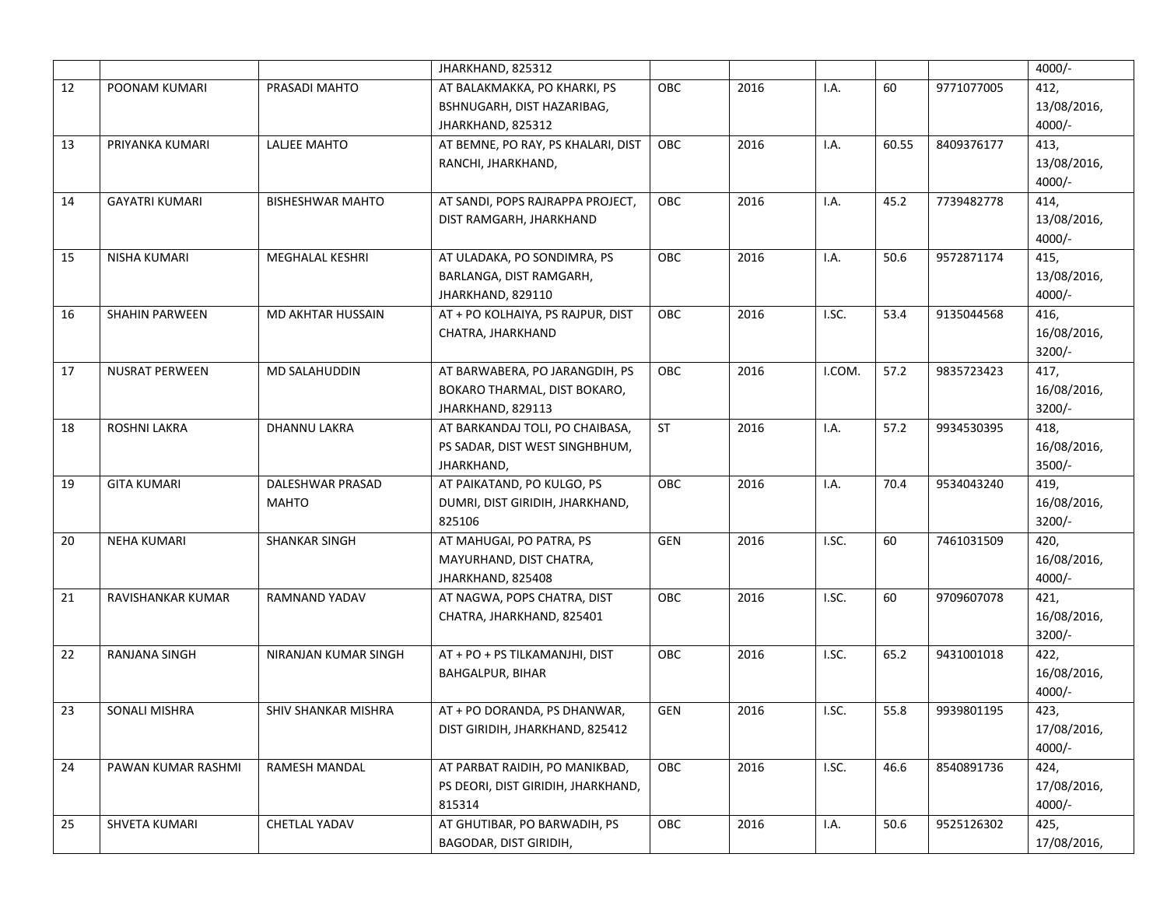|    |                       |                         | JHARKHAND, 825312                  |            |      |        |       |            | $4000/-$    |
|----|-----------------------|-------------------------|------------------------------------|------------|------|--------|-------|------------|-------------|
| 12 | POONAM KUMARI         | PRASADI MAHTO           | AT BALAKMAKKA, PO KHARKI, PS       | OBC        | 2016 | I.A.   | 60    | 9771077005 | 412,        |
|    |                       |                         | BSHNUGARH, DIST HAZARIBAG,         |            |      |        |       |            | 13/08/2016, |
|    |                       |                         | JHARKHAND, 825312                  |            |      |        |       |            | $4000/-$    |
| 13 | PRIYANKA KUMARI       | LALJEE MAHTO            | AT BEMNE, PO RAY, PS KHALARI, DIST | OBC        | 2016 | I.A.   | 60.55 | 8409376177 | 413,        |
|    |                       |                         | RANCHI, JHARKHAND,                 |            |      |        |       |            | 13/08/2016, |
|    |                       |                         |                                    |            |      |        |       |            | $4000/-$    |
| 14 | <b>GAYATRI KUMARI</b> | <b>BISHESHWAR MAHTO</b> | AT SANDI, POPS RAJRAPPA PROJECT,   | <b>OBC</b> | 2016 | I.A.   | 45.2  | 7739482778 | 414,        |
|    |                       |                         | DIST RAMGARH, JHARKHAND            |            |      |        |       |            | 13/08/2016, |
|    |                       |                         |                                    |            |      |        |       |            | $4000/-$    |
| 15 | <b>NISHA KUMARI</b>   | <b>MEGHALAL KESHRI</b>  | AT ULADAKA, PO SONDIMRA, PS        | OBC        | 2016 | I.A.   | 50.6  | 9572871174 | 415,        |
|    |                       |                         | BARLANGA, DIST RAMGARH,            |            |      |        |       |            | 13/08/2016, |
|    |                       |                         | JHARKHAND, 829110                  |            |      |        |       |            | $4000/-$    |
| 16 | <b>SHAHIN PARWEEN</b> | MD AKHTAR HUSSAIN       | AT + PO KOLHAIYA, PS RAJPUR, DIST  | OBC        | 2016 | I.SC.  | 53.4  | 9135044568 | 416,        |
|    |                       |                         | CHATRA, JHARKHAND                  |            |      |        |       |            | 16/08/2016, |
|    |                       |                         |                                    |            |      |        |       |            | $3200/-$    |
| 17 | <b>NUSRAT PERWEEN</b> | MD SALAHUDDIN           | AT BARWABERA, PO JARANGDIH, PS     | OBC        | 2016 | I.COM. | 57.2  | 9835723423 | 417,        |
|    |                       |                         | BOKARO THARMAL, DIST BOKARO,       |            |      |        |       |            | 16/08/2016, |
|    |                       |                         | JHARKHAND, 829113                  |            |      |        |       |            | $3200/-$    |
| 18 | <b>ROSHNI LAKRA</b>   | <b>DHANNU LAKRA</b>     | AT BARKANDAJ TOLI, PO CHAIBASA,    | ST         | 2016 | I.A.   | 57.2  | 9934530395 | 418,        |
|    |                       |                         | PS SADAR, DIST WEST SINGHBHUM,     |            |      |        |       |            | 16/08/2016, |
|    |                       |                         | JHARKHAND,                         |            |      |        |       |            | $3500/-$    |
| 19 | <b>GITA KUMARI</b>    | DALESHWAR PRASAD        | AT PAIKATAND, PO KULGO, PS         | OBC        | 2016 | I.A.   | 70.4  | 9534043240 | 419,        |
|    |                       | MAHTO                   | DUMRI, DIST GIRIDIH, JHARKHAND,    |            |      |        |       |            | 16/08/2016, |
|    |                       |                         | 825106                             |            |      |        |       |            | $3200/-$    |
| 20 | <b>NEHA KUMARI</b>    | SHANKAR SINGH           | AT MAHUGAI, PO PATRA, PS           | <b>GEN</b> | 2016 | I.SC.  | 60    | 7461031509 | 420,        |
|    |                       |                         | MAYURHAND, DIST CHATRA,            |            |      |        |       |            | 16/08/2016, |
|    |                       |                         | JHARKHAND, 825408                  |            |      |        |       |            | $4000/-$    |
| 21 | RAVISHANKAR KUMAR     | <b>RAMNAND YADAV</b>    | AT NAGWA, POPS CHATRA, DIST        | OBC        | 2016 | I.SC.  | 60    | 9709607078 | 421,        |
|    |                       |                         | CHATRA, JHARKHAND, 825401          |            |      |        |       |            | 16/08/2016, |
|    |                       |                         |                                    |            |      |        |       |            | $3200/-$    |
| 22 | <b>RANJANA SINGH</b>  | NIRANJAN KUMAR SINGH    | AT + PO + PS TILKAMANJHI, DIST     | OBC        | 2016 | I.SC.  | 65.2  | 9431001018 | 422,        |
|    |                       |                         | <b>BAHGALPUR, BIHAR</b>            |            |      |        |       |            | 16/08/2016, |
|    |                       |                         |                                    |            |      |        |       |            | $4000/-$    |
| 23 | SONALI MISHRA         | SHIV SHANKAR MISHRA     | AT + PO DORANDA, PS DHANWAR,       | <b>GEN</b> | 2016 | I.SC.  | 55.8  | 9939801195 | 423,        |
|    |                       |                         | DIST GIRIDIH, JHARKHAND, 825412    |            |      |        |       |            | 17/08/2016, |
|    |                       |                         |                                    |            |      |        |       |            | $4000/-$    |
| 24 | PAWAN KUMAR RASHMI    | RAMESH MANDAL           | AT PARBAT RAIDIH, PO MANIKBAD,     | OBC        | 2016 | I.SC.  | 46.6  | 8540891736 | 424,        |
|    |                       |                         | PS DEORI, DIST GIRIDIH, JHARKHAND, |            |      |        |       |            | 17/08/2016, |
|    |                       |                         | 815314                             |            |      |        |       |            | $4000/-$    |
| 25 | SHVETA KUMARI         | CHETLAL YADAV           | AT GHUTIBAR, PO BARWADIH, PS       | OBC        | 2016 | I.A.   | 50.6  | 9525126302 | 425,        |
|    |                       |                         | BAGODAR, DIST GIRIDIH,             |            |      |        |       |            | 17/08/2016, |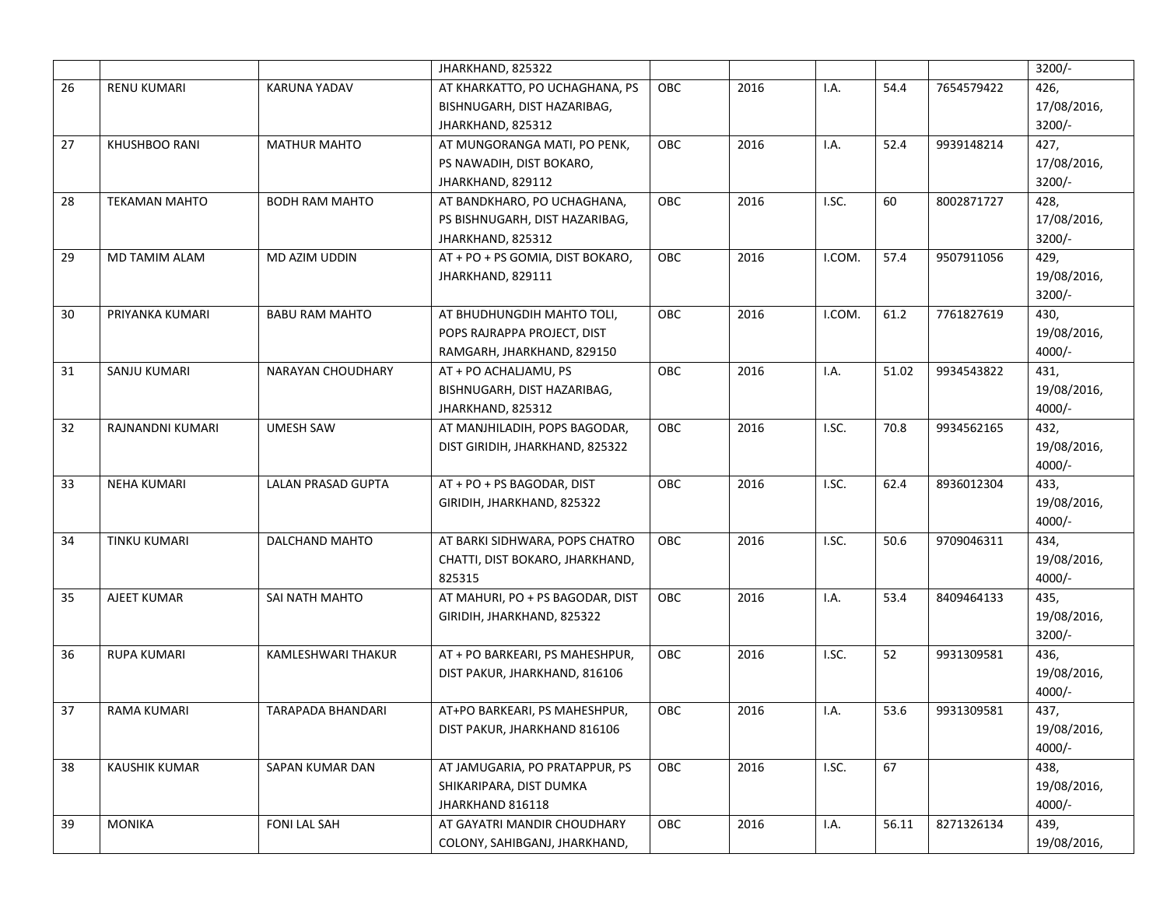|    |                      |                           | JHARKHAND, 825322                |     |      |        |       |            | $3200/-$    |
|----|----------------------|---------------------------|----------------------------------|-----|------|--------|-------|------------|-------------|
| 26 | RENU KUMARI          | KARUNA YADAV              | AT KHARKATTO, PO UCHAGHANA, PS   | OBC | 2016 | I.A.   | 54.4  | 7654579422 | 426,        |
|    |                      |                           | BISHNUGARH, DIST HAZARIBAG,      |     |      |        |       |            | 17/08/2016, |
|    |                      |                           | JHARKHAND, 825312                |     |      |        |       |            | $3200/-$    |
| 27 | KHUSHBOO RANI        | <b>MATHUR MAHTO</b>       | AT MUNGORANGA MATI, PO PENK,     | OBC | 2016 | I.A.   | 52.4  | 9939148214 | 427,        |
|    |                      |                           | PS NAWADIH, DIST BOKARO,         |     |      |        |       |            | 17/08/2016, |
|    |                      |                           | JHARKHAND, 829112                |     |      |        |       |            | $3200/-$    |
| 28 | <b>TEKAMAN MAHTO</b> | <b>BODH RAM MAHTO</b>     | AT BANDKHARO, PO UCHAGHANA,      | OBC | 2016 | I.SC.  | 60    | 8002871727 | 428,        |
|    |                      |                           | PS BISHNUGARH, DIST HAZARIBAG,   |     |      |        |       |            | 17/08/2016, |
|    |                      |                           | JHARKHAND, 825312                |     |      |        |       |            | $3200/-$    |
| 29 | MD TAMIM ALAM        | MD AZIM UDDIN             | AT + PO + PS GOMIA, DIST BOKARO, | OBC | 2016 | I.COM. | 57.4  | 9507911056 | 429,        |
|    |                      |                           | JHARKHAND, 829111                |     |      |        |       |            | 19/08/2016, |
|    |                      |                           |                                  |     |      |        |       |            | $3200/-$    |
| 30 | PRIYANKA KUMARI      | <b>BABU RAM MAHTO</b>     | AT BHUDHUNGDIH MAHTO TOLI,       | OBC | 2016 | I.COM. | 61.2  | 7761827619 | 430,        |
|    |                      |                           | POPS RAJRAPPA PROJECT, DIST      |     |      |        |       |            | 19/08/2016, |
|    |                      |                           | RAMGARH, JHARKHAND, 829150       |     |      |        |       |            | $4000/-$    |
| 31 | SANJU KUMARI         | NARAYAN CHOUDHARY         | AT + PO ACHALJAMU, PS            | OBC | 2016 | I.A.   | 51.02 | 9934543822 | 431,        |
|    |                      |                           | BISHNUGARH, DIST HAZARIBAG,      |     |      |        |       |            | 19/08/2016, |
|    |                      |                           | JHARKHAND, 825312                |     |      |        |       |            | $4000/-$    |
| 32 | RAJNANDNI KUMARI     | <b>UMESH SAW</b>          | AT MANJHILADIH, POPS BAGODAR,    | OBC | 2016 | I.SC.  | 70.8  | 9934562165 | 432,        |
|    |                      |                           | DIST GIRIDIH, JHARKHAND, 825322  |     |      |        |       |            | 19/08/2016, |
|    |                      |                           |                                  |     |      |        |       |            | $4000/-$    |
| 33 | <b>NEHA KUMARI</b>   | <b>LALAN PRASAD GUPTA</b> | AT + PO + PS BAGODAR, DIST       | OBC | 2016 | I.SC.  | 62.4  | 8936012304 | 433,        |
|    |                      |                           | GIRIDIH, JHARKHAND, 825322       |     |      |        |       |            | 19/08/2016, |
|    |                      |                           |                                  |     |      |        |       |            | $4000/-$    |
| 34 | TINKU KUMARI         | DALCHAND MAHTO            | AT BARKI SIDHWARA, POPS CHATRO   | OBC | 2016 | I.SC.  | 50.6  | 9709046311 | 434,        |
|    |                      |                           | CHATTI, DIST BOKARO, JHARKHAND,  |     |      |        |       |            | 19/08/2016, |
|    |                      |                           | 825315                           |     |      |        |       |            | $4000/-$    |
| 35 | AJEET KUMAR          | SAI NATH MAHTO            | AT MAHURI, PO + PS BAGODAR, DIST | OBC | 2016 | I.A.   | 53.4  | 8409464133 | 435,        |
|    |                      |                           | GIRIDIH, JHARKHAND, 825322       |     |      |        |       |            | 19/08/2016, |
|    |                      |                           |                                  |     |      |        |       |            | $3200/-$    |
| 36 | <b>RUPA KUMARI</b>   | KAMLESHWARI THAKUR        | AT + PO BARKEARI, PS MAHESHPUR,  | OBC | 2016 | I.SC.  | 52    | 9931309581 | 436,        |
|    |                      |                           | DIST PAKUR, JHARKHAND, 816106    |     |      |        |       |            | 19/08/2016, |
|    |                      |                           |                                  |     |      |        |       |            | $4000/-$    |
| 37 | RAMA KUMARI          | <b>TARAPADA BHANDARI</b>  | AT+PO BARKEARI, PS MAHESHPUR,    | OBC | 2016 | I.A.   | 53.6  | 9931309581 | 437,        |
|    |                      |                           | DIST PAKUR, JHARKHAND 816106     |     |      |        |       |            | 19/08/2016, |
|    |                      |                           |                                  |     |      |        |       |            | $4000/-$    |
| 38 | KAUSHIK KUMAR        | SAPAN KUMAR DAN           | AT JAMUGARIA, PO PRATAPPUR, PS   | OBC | 2016 | I.SC.  | 67    |            | 438,        |
|    |                      |                           | SHIKARIPARA, DIST DUMKA          |     |      |        |       |            | 19/08/2016, |
|    |                      |                           | JHARKHAND 816118                 |     |      |        |       |            | $4000/-$    |
| 39 | <b>MONIKA</b>        | <b>FONI LAL SAH</b>       | AT GAYATRI MANDIR CHOUDHARY      | OBC | 2016 | I.A.   | 56.11 | 8271326134 | 439,        |
|    |                      |                           | COLONY, SAHIBGANJ, JHARKHAND,    |     |      |        |       |            | 19/08/2016, |